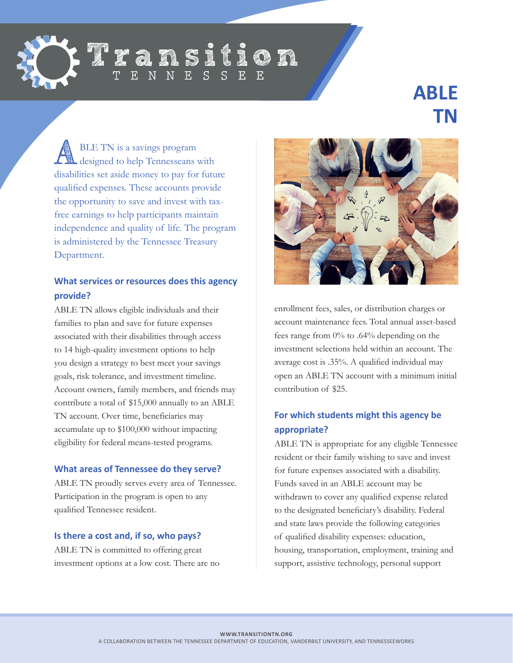

# Iransition  $\overline{S}$

# **ABLE TN**

**ALGE TN** is a savings program<br>
designed to help Tennesseans with disabilities set aside money to pay for future qualified expenses. These accounts provide the opportunity to save and invest with taxfree earnings to help participants maintain independence and quality of life. The program is administered by the Tennessee Treasury Department.

## **What services or resources does this agency provide?**

ABLE TN allows eligible individuals and their families to plan and save for future expenses associated with their disabilities through access to 14 high-quality investment options to help you design a strategy to best meet your savings goals, risk tolerance, and investment timeline. Account owners, family members, and friends may contribute a total of \$15,000 annually to an ABLE TN account. Over time, beneficiaries may accumulate up to \$100,000 without impacting eligibility for federal means-tested programs.

#### **What areas of Tennessee do they serve?**

ABLE TN proudly serves every area of Tennessee. Participation in the program is open to any qualified Tennessee resident.

#### **Is there a cost and, if so, who pays?**

ABLE TN is committed to offering great investment options at a low cost. There are no



enrollment fees, sales, or distribution charges or account maintenance fees. Total annual asset-based fees range from 0% to .64% depending on the investment selections held within an account. The average cost is .35%. A qualified individual may open an ABLE TN account with a minimum initial contribution of \$25.

# **For which students might this agency be appropriate?**

ABLE TN is appropriate for any eligible Tennessee resident or their family wishing to save and invest for future expenses associated with a disability. Funds saved in an ABLE account may be withdrawn to cover any qualified expense related to the designated beneficiary's disability. Federal and state laws provide the following categories of qualified disability expenses: education, housing, transportation, employment, training and support, assistive technology, personal support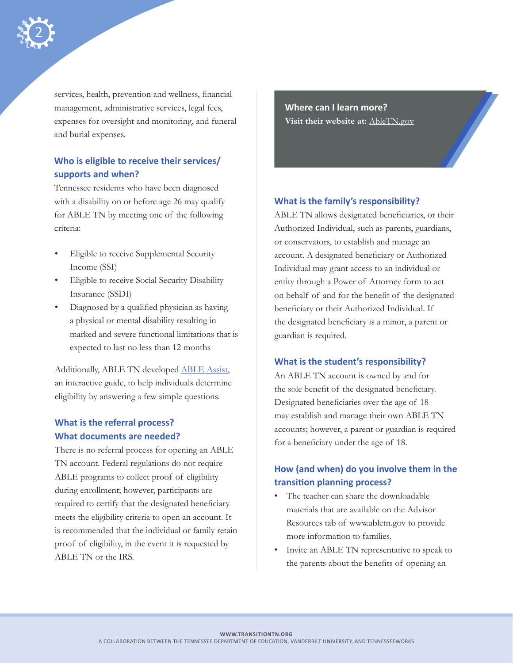

services, health, prevention and wellness, financial management, administrative services, legal fees, expenses for oversight and monitoring, and funeral and burial expenses.

# **Who is eligible to receive their services/ supports and when?**

Tennessee residents who have been diagnosed with a disability on or before age 26 may qualify for ABLE TN by meeting one of the following criteria:

- Eligible to receive Supplemental Security Income (SSI)
- Eligible to receive Social Security Disability Insurance (SSDI)
- Diagnosed by a qualified physician as having a physical or mental disability resulting in marked and severe functional limitations that is expected to last no less than 12 months

Additionally, ABLE TN developed [ABLE Assist](http://abletn.gov/ableassist/index.html), an interactive guide, to help individuals determine eligibility by answering a few simple questions.

#### **What is the referral process? What documents are needed?**

There is no referral process for opening an ABLE TN account. Federal regulations do not require ABLE programs to collect proof of eligibility during enrollment; however, participants are required to certify that the designated beneficiary meets the eligibility criteria to open an account. It is recommended that the individual or family retain proof of eligibility, in the event it is requested by ABLE TN or the IRS.

**Where can I learn more? Visit their website at:** [AbleTN.gov](http://AbleTN.gov)

#### **What is the family's responsibility?**

ABLE TN allows designated beneficiaries, or their Authorized Individual, such as parents, guardians, or conservators, to establish and manage an account. A designated beneficiary or Authorized Individual may grant access to an individual or entity through a Power of Attorney form to act on behalf of and for the benefit of the designated beneficiary or their Authorized Individual. If the designated beneficiary is a minor, a parent or guardian is required.

#### **What is the student's responsibility?**

An ABLE TN account is owned by and for the sole benefit of the designated beneficiary. Designated beneficiaries over the age of 18 may establish and manage their own ABLE TN accounts; however, a parent or guardian is required for a beneficiary under the age of 18.

## **How (and when) do you involve them in the transition planning process?**

- The teacher can share the downloadable materials that are available on the Advisor Resources tab of www.abletn.gov to provide more information to families.
- Invite an ABLE TN representative to speak to the parents about the benefits of opening an